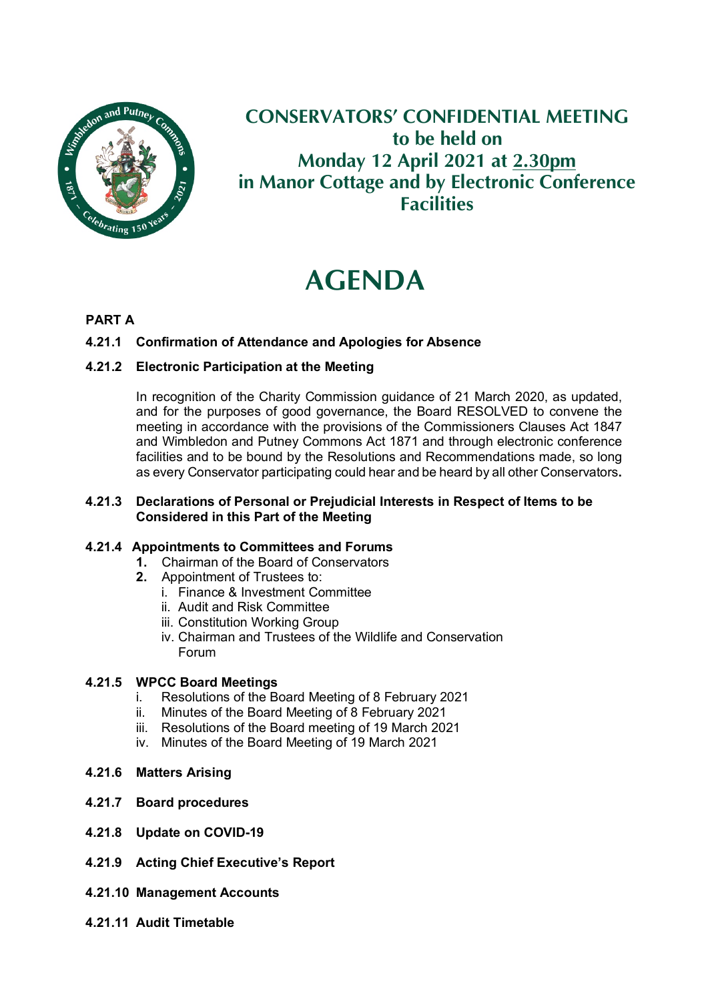

### **CONSERVATORS' CONFIDENTIAL MEETING to be held on Monday 12 April 2021 at 2.30pm in Manor Cottage and by Electronic Conference Facilities**

# **AGENDA**

#### **PART A**

#### **4.21.1 Confirmation of Attendance and Apologies for Absence**

#### **4.21.2 Electronic Participation at the Meeting**

In recognition of the Charity Commission guidance of 21 March 2020, as updated, and for the purposes of good governance, the Board RESOLVED to convene the meeting in accordance with the provisions of the Commissioners Clauses Act 1847 and Wimbledon and Putney Commons Act 1871 and through electronic conference facilities and to be bound by the Resolutions and Recommendations made, so long as every Conservator participating could hear and be heard by all other Conservators**.**

#### **4.21.3 Declarations of Personal or Prejudicial Interests in Respect of Items to be Considered in this Part of the Meeting**

#### **4.21.4 Appointments to Committees and Forums**

- **1.** Chairman of the Board of Conservators
- **2.** Appointment of Trustees to:
	- i. Finance & Investment Committee
	- ii. Audit and Risk Committee
	- iii. Constitution Working Group
	- iv. Chairman and Trustees of the Wildlife and Conservation Forum

## **4.21.5 WPCC Board Meetings**

- Resolutions of the Board Meeting of 8 February 2021
- ii. Minutes of the Board Meeting of 8 February 2021
- iii. Resolutions of the Board meeting of 19 March 2021
- iv. Minutes of the Board Meeting of 19 March 2021
- **4.21.6 Matters Arising**
- **4.21.7 Board procedures**
- **4.21.8 Update on COVID-19**
- **4.21.9 Acting Chief Executive's Report**
- **4.21.10 Management Accounts**
- **4.21.11 Audit Timetable**